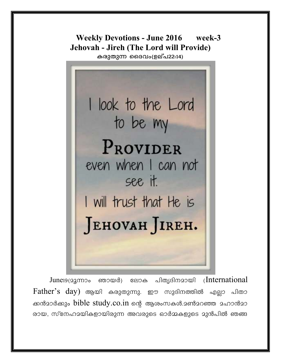**Weekly Devotions - June 2016** week-3 **Jehovah - Jireh (The Lord will Provide)** 

കരുതുന്ന ദൈവം(ഉല്പ22:14)

I look to the Lord to be my PROVIDER even when I can not see it. I will trust that He is JEHOVAH JIREH.

(International) June<sub>19</sub> (23 moo ഞായർ) ലോക പിതൃദിനമായി Father's day) ആയി കരുതുന്നു. ഈ സുദിനത്തിൽ എല്ലാ പിതാ ക്കൻമാർക്കും bible study.co.in ന്റെ ആശംസകൾ.മൺമറഞ്ഞ മഹാൻമാ രായ, സ്നേഹമയികളായിരുന്ന അവരുടെ ഓർമ്മകളുടെ മുൻപിൽ ഞങ്ങ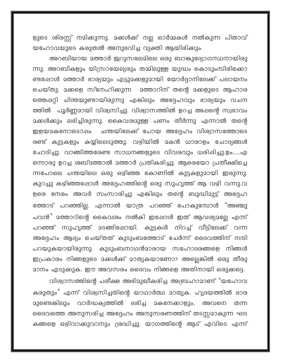ളുടെ ശിരസ്സ് നമിക്കുന്നു. മക്കൾക്ക് നല്ല ഓർമ്മകൾ നൽകുന്ന പിതാവ് യഹോവയുടെ കരുതൽ അനുഭവിച്ച വ്യക്തി ആയിരിക്കും.

അറബിയായ മത്താർ ജറുസലേമിലെ ഒരു ബാങ്കുദ്യോഗസ്ഥനായിരു ന്നു. അറബികളും യിസ്രായേല്യരും തമ്മിലുള്ള യുദ്ധം കൊടുംമ്പിരിക്കൊ ണ്ടപ്പോൾ മത്താർ ഭാര്യയും എട്ടുമക്കളുമായി യോർദ്ദാനിലേക്ക് പലായനം ചെയ്തു. മക്കളെ സ്നേഹിക്കുന്ന മത്താറിന് തന്റെ മക്കളുടെ ആഹാര ത്തെഷറ്റി ചിന്തയുണ്ടായിരുന്നു എങ്കിലും അദ്ദേഹവും ഭാര്യയും വചന ത്തിൽ പൂർണ്ണമായി വിശ്വസിച്ചു. വിശ്വാസത്തിൽ ഉറച്ച അഷന്റെ സ്വഭാവം <u> </u>ദക്കൾക്കും ലഭിച്ചിരുന്നു. കൈവശദുള്ള പണം തീർന്നു എന്നാൽ തന്റെ ചന്തയിലേക്ക് പോയ അദ്ദേഹം വിശ്വാസത്തോടെ ഇളയമകനോടൊഷം രണ്ട് കുട്ടകളും കയ്യിലെടുത്തു. വഴിയിൽ മകൻ ധാരാളം ചോദ്യങ്ങൾ ചോദിച്ചു. വാങ്ങിത്തരേണ്ട സാധനങ്ങളുടെ വിവരവും ധരിപ്പിച്ചു.ഉം.....എ ന്നൊരു ഉറച്ച ശബ്ദത്താൽ മത്താർ പ്രതികരിച്ചു. ആരെയോ പ്രതീക്ഷിച്ചെ ന്നപോലെ ചന്തയിലെ ഒരു ഒഴിഞ്ഞ കോണിൽ കുട്ടകളുമായി ഇരുന്നു. കുറച്ചു കഴിഞ്ഞപ്പോൾ അദ്ദേഹത്തിന്റെ ഒരു സുഹൃത്ത് ആ വഴി വന്നു.വ ളരെ നേരം അവർ സംസാരിച്ചു എങ്കിലും തന്റെ ബുദ്ധിമുട്ട് അദ്ദേഹ ത്തോട് പറഞ്ഞില്ല. എന്നാൽ യാത്ര പറഞ്ഞ് പോകുമ്പോൾ 'അഞ്ചു പവൻ' മത്താറിന്റെ കൈവശം നൽകി ഇപ്പോൾ ഇത് ആവശ്യമല്ലേ എന്ന് പറഞ്ഞ് സുഹൃത്ത് മടങ്ങിഷോയി. കുട്ടകൾ നിറച്ച് വീട്ടിലേക്ക് വന്ന അദ്ദേഹം ആദ്യം ചെയ്തത് കുടുംബത്തോട് ചേർന്ന് ദൈവത്തിന് നന്ദി പറയുകയായിരുന്നു. കുടുംബനാഥൻമാരായ സഹോദരങ്ങളെ നിങ്ങൾ ഇപ്രകാരം നിങ്ങളുടെ മക്കൾക്ക് മാതൃകയാണോ? അല്ലെങ്കിൽ ഒരു തീരു മാനം എടുക്കുക. ഈ അവസരം ദൈവം നിങ്ങളെ അതിനായി ഒരുക്കട്ടെ.

വിശ്വാസത്തിന്റെ പരീക്ഷ അഭിമുഖീകരിച്ച അബ്രഹാമാണ് 'യഹോവ കരുതും' എന്ന് വിശ്വസിച്ചതിന്റെ യാഥാർത്ഥ മാതൃക. ഹൃദയത്തിൽ ഭാര படிித വാർദ്ധക്യത്തിൽ <u> മുണ്ടെങ്കിലും </u> 2കനേക്കാളും, അവനെ തന്ന ദൈവത്തെ അനുസരിച്ച അദ്ദേഹം അനുസരണത്തിന് തടസ്സമാകുന്ന ഘട കങ്ങളെ ഒഴിവാക്കുവാനും ശ്രദ്ധിച്ചു. യാഗത്തിന്റെ ആട് എവിടെ എന്ന്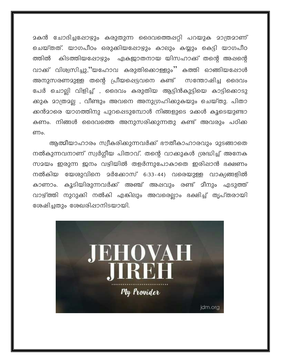മകൻ ചോദിച്ചപ്പോഴും കരുതുന്ന ദൈവത്തെപ്പറ്റി പറയുക മാത്രമാണ് ചെയ്തത്. യാഗപീഠം ഒരുക്കിയപ്പോഴും കാലും കയ്യും കെട്ടി യാഗപീഠ ത്തിൽ കിടത്തിയപ്പോഴും ഏകജാതനായ യിസഹാക്ക് തന്റെ അഷന്റെ വാക്ക് വിശ്വസിച്ചു,''യഹോവ കരുതിക്കൊള്ളും'' കത്തി ഓങ്ങിയപ്പോൾ അനുസരണമുള്ള തന്റെ പ്രീയപ്പെട്ടവനെ കണ്ട് സന്തോഷിച്ച ദൈവം പേർ ചൊല്ലി വിളിച്ച് , ദൈവം കരുതിയ ആട്ടിൻകുട്ടിയെ കാട്ടിക്കൊടു ക്കുക മാത്രമല്ല , വീണ്ടും അവനെ അനുഗ്രഹിക്കുകയും ചെയ്തു. പിതാ ക്കൻമാരെ യാഗത്തിനു പുറപ്പെടുമ്പോൾ നിങ്ങളുടെ മക്കൾ കൂടെയുണ്ടാ കണം. നിങ്ങൾ ദൈവത്തെ അനുസരിക്കുന്നതു കണ്ട് അവരും പഠിക്ക ണം.

ആത്മീയാഹാരം സ്വീകരിക്കുന്നവർക്ക് ഭൗതീകാഹാരവും മുടങ്ങാതെ നൽകുന്നവനാണ് സ്വർഗ്ഗീയ പിതാവ്. തന്റെ വാക്കുകൾ ശ്രദ്ധിച്ച് അനേക സമയം ഇരുന്ന ഇനം വഴിയിൽ തളർന്നുപോകാതെ ഇരിഷാൻ ഭക്ഷണം നൽകിയ യേശുവിനെ മർക്കോസ് 6:33-44) വരെയുള്ള വാക്യങ്ങളിൽ കാണാം. കുടിയിരുന്നവർക്ക് അഞ്ച് അഷവും രണ്ട് മീനും എടുത്ത് വാഴ്ത്തി നുറുക്കി നൽകി എങ്കിലും അവരെല്ലാം ഭക്ഷിച്ച് തൃപ്തരായി രേഷിച്ചതും ശേഖരിഷാനിടയായി.